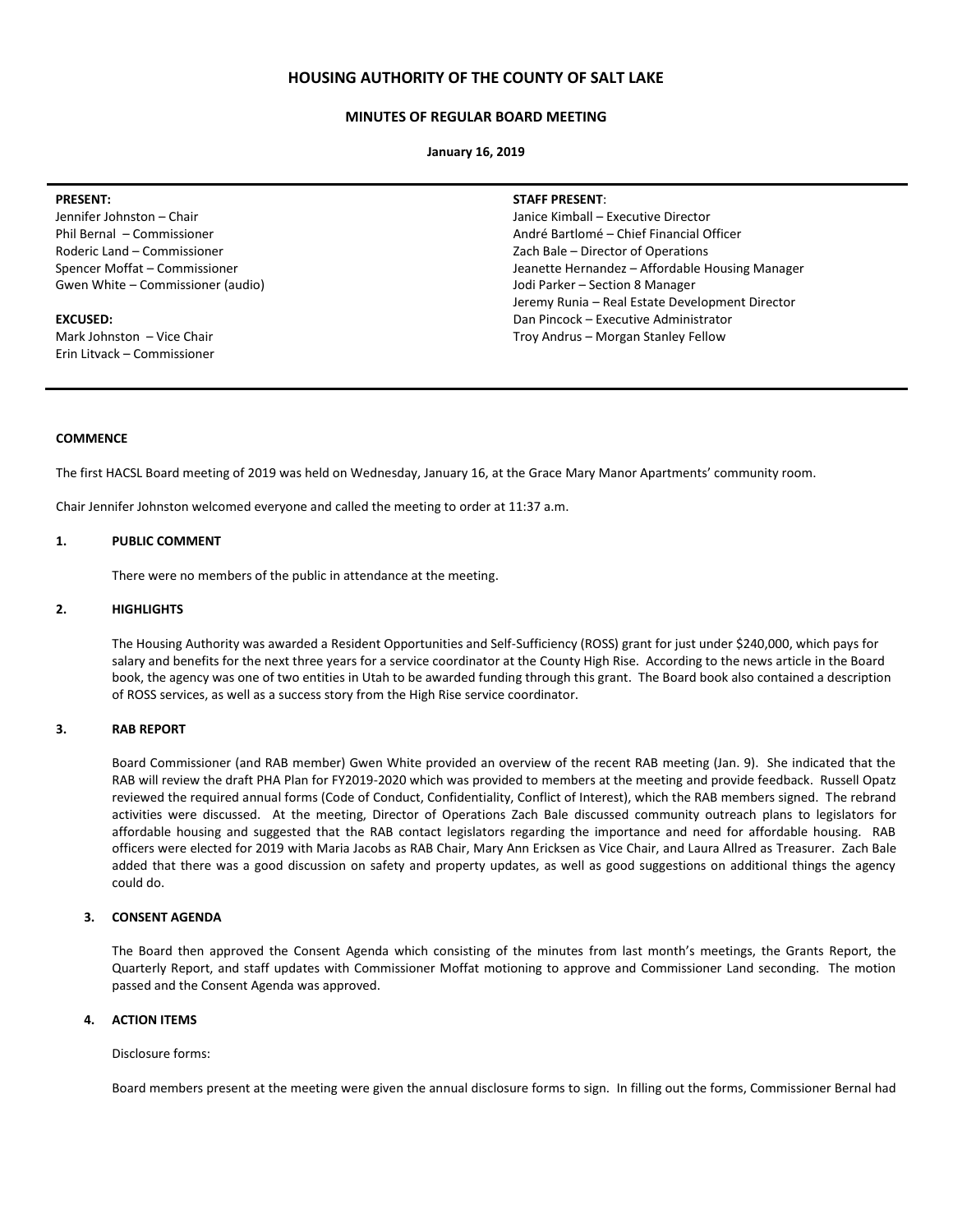# **HOUSING AUTHORITY OF THE COUNTY OF SALT LAKE**

## **MINUTES OF REGULAR BOARD MEETING**

**January 16, 2019**

Jennifer Johnston – Chair Phil Bernal – Commissioner Roderic Land – Commissioner Spencer Moffat – Commissioner Gwen White – Commissioner (audio)

#### **EXCUSED:**

Mark Johnston – Vice Chair Erin Litvack – Commissioner **STAFF PRESENT**:

Janice Kimball – Executive Director André Bartlomé – Chief Financial Officer Zach Bale – Director of Operations Jeanette Hernandez – Affordable Housing Manager Jodi Parker – Section 8 Manager Jeremy Runia – Real Estate Development Director Dan Pincock – Executive Administrator Troy Andrus – Morgan Stanley Fellow

## **COMMENCE**

The first HACSL Board meeting of 2019 was held on Wednesday, January 16, at the Grace Mary Manor Apartments' community room.

Chair Jennifer Johnston welcomed everyone and called the meeting to order at 11:37 a.m.

## **1. PUBLIC COMMENT**

There were no members of the public in attendance at the meeting.

### **2. HIGHLIGHTS**

The Housing Authority was awarded a Resident Opportunities and Self-Sufficiency (ROSS) grant for just under \$240,000, which pays for salary and benefits for the next three years for a service coordinator at the County High Rise. According to the news article in the Board book, the agency was one of two entities in Utah to be awarded funding through this grant. The Board book also contained a description of ROSS services, as well as a success story from the High Rise service coordinator.

## **3. RAB REPORT**

Board Commissioner (and RAB member) Gwen White provided an overview of the recent RAB meeting (Jan. 9). She indicated that the RAB will review the draft PHA Plan for FY2019-2020 which was provided to members at the meeting and provide feedback. Russell Opatz reviewed the required annual forms (Code of Conduct, Confidentiality, Conflict of Interest), which the RAB members signed. The rebrand activities were discussed. At the meeting, Director of Operations Zach Bale discussed community outreach plans to legislators for affordable housing and suggested that the RAB contact legislators regarding the importance and need for affordable housing. RAB officers were elected for 2019 with Maria Jacobs as RAB Chair, Mary Ann Ericksen as Vice Chair, and Laura Allred as Treasurer. Zach Bale added that there was a good discussion on safety and property updates, as well as good suggestions on additional things the agency could do.

## **3. CONSENT AGENDA**

The Board then approved the Consent Agenda which consisting of the minutes from last month's meetings, the Grants Report, the Quarterly Report, and staff updates with Commissioner Moffat motioning to approve and Commissioner Land seconding. The motion passed and the Consent Agenda was approved.

## **4. ACTION ITEMS**

Disclosure forms:

Board members present at the meeting were given the annual disclosure forms to sign. In filling out the forms, Commissioner Bernal had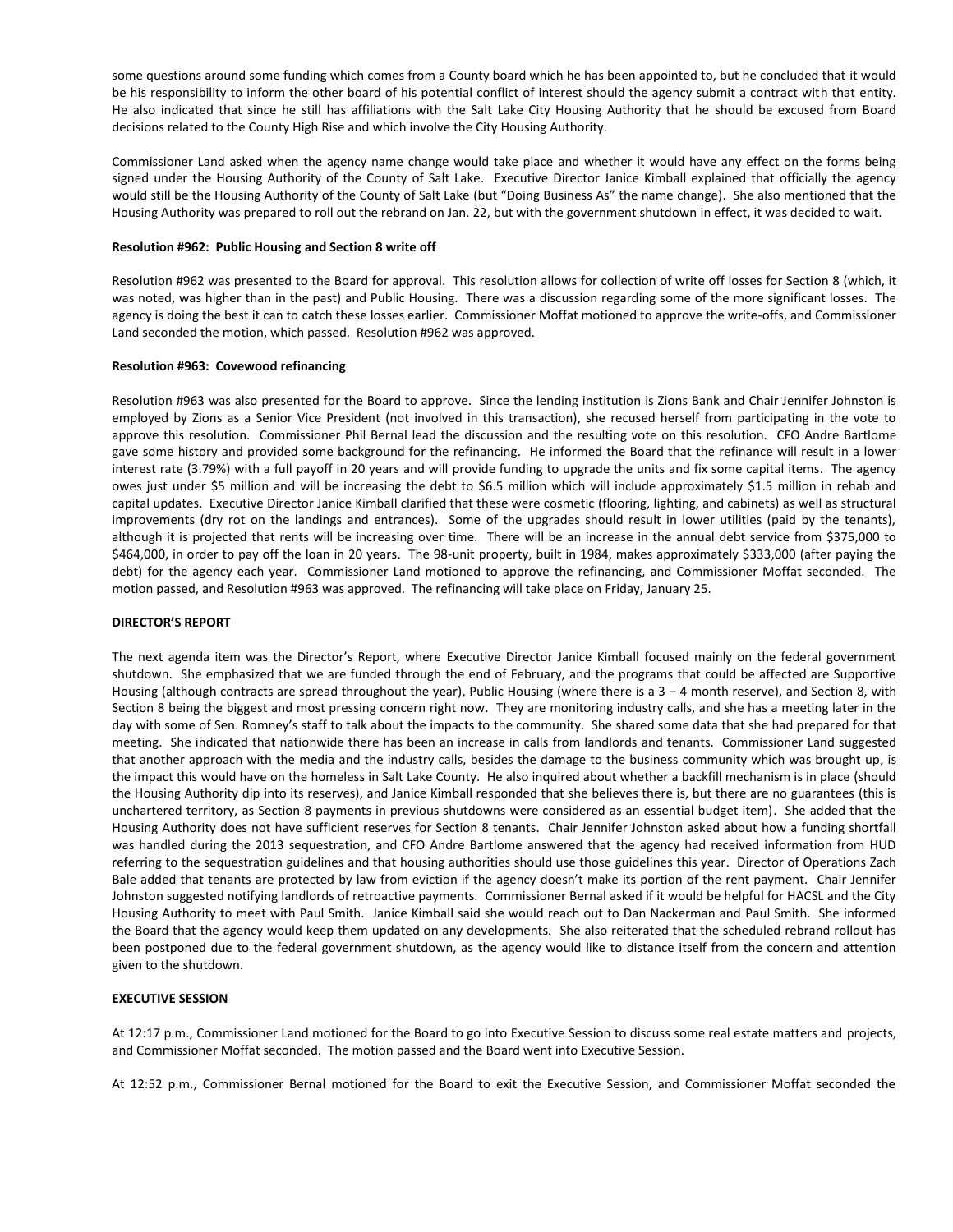some questions around some funding which comes from a County board which he has been appointed to, but he concluded that it would be his responsibility to inform the other board of his potential conflict of interest should the agency submit a contract with that entity. He also indicated that since he still has affiliations with the Salt Lake City Housing Authority that he should be excused from Board decisions related to the County High Rise and which involve the City Housing Authority.

Commissioner Land asked when the agency name change would take place and whether it would have any effect on the forms being signed under the Housing Authority of the County of Salt Lake. Executive Director Janice Kimball explained that officially the agency would still be the Housing Authority of the County of Salt Lake (but "Doing Business As" the name change). She also mentioned that the Housing Authority was prepared to roll out the rebrand on Jan. 22, but with the government shutdown in effect, it was decided to wait.

# **Resolution #962: Public Housing and Section 8 write off**

Resolution #962 was presented to the Board for approval. This resolution allows for collection of write off losses for Section 8 (which, it was noted, was higher than in the past) and Public Housing. There was a discussion regarding some of the more significant losses. The agency is doing the best it can to catch these losses earlier. Commissioner Moffat motioned to approve the write-offs, and Commissioner Land seconded the motion, which passed. Resolution #962 was approved.

### **Resolution #963: Covewood refinancing**

Resolution #963 was also presented for the Board to approve. Since the lending institution is Zions Bank and Chair Jennifer Johnston is employed by Zions as a Senior Vice President (not involved in this transaction), she recused herself from participating in the vote to approve this resolution. Commissioner Phil Bernal lead the discussion and the resulting vote on this resolution. CFO Andre Bartlome gave some history and provided some background for the refinancing. He informed the Board that the refinance will result in a lower interest rate (3.79%) with a full payoff in 20 years and will provide funding to upgrade the units and fix some capital items. The agency owes just under \$5 million and will be increasing the debt to \$6.5 million which will include approximately \$1.5 million in rehab and capital updates. Executive Director Janice Kimball clarified that these were cosmetic (flooring, lighting, and cabinets) as well as structural improvements (dry rot on the landings and entrances). Some of the upgrades should result in lower utilities (paid by the tenants), although it is projected that rents will be increasing over time. There will be an increase in the annual debt service from \$375,000 to \$464,000, in order to pay off the loan in 20 years. The 98-unit property, built in 1984, makes approximately \$333,000 (after paying the debt) for the agency each year. Commissioner Land motioned to approve the refinancing, and Commissioner Moffat seconded. The motion passed, and Resolution #963 was approved. The refinancing will take place on Friday, January 25.

### **DIRECTOR'S REPORT**

The next agenda item was the Director's Report, where Executive Director Janice Kimball focused mainly on the federal government shutdown. She emphasized that we are funded through the end of February, and the programs that could be affected are Supportive Housing (although contracts are spread throughout the year), Public Housing (where there is a 3 – 4 month reserve), and Section 8, with Section 8 being the biggest and most pressing concern right now. They are monitoring industry calls, and she has a meeting later in the day with some of Sen. Romney's staff to talk about the impacts to the community. She shared some data that she had prepared for that meeting. She indicated that nationwide there has been an increase in calls from landlords and tenants. Commissioner Land suggested that another approach with the media and the industry calls, besides the damage to the business community which was brought up, is the impact this would have on the homeless in Salt Lake County. He also inquired about whether a backfill mechanism is in place (should the Housing Authority dip into its reserves), and Janice Kimball responded that she believes there is, but there are no guarantees (this is unchartered territory, as Section 8 payments in previous shutdowns were considered as an essential budget item). She added that the Housing Authority does not have sufficient reserves for Section 8 tenants. Chair Jennifer Johnston asked about how a funding shortfall was handled during the 2013 sequestration, and CFO Andre Bartlome answered that the agency had received information from HUD referring to the sequestration guidelines and that housing authorities should use those guidelines this year. Director of Operations Zach Bale added that tenants are protected by law from eviction if the agency doesn't make its portion of the rent payment. Chair Jennifer Johnston suggested notifying landlords of retroactive payments. Commissioner Bernal asked if it would be helpful for HACSL and the City Housing Authority to meet with Paul Smith. Janice Kimball said she would reach out to Dan Nackerman and Paul Smith. She informed the Board that the agency would keep them updated on any developments. She also reiterated that the scheduled rebrand rollout has been postponed due to the federal government shutdown, as the agency would like to distance itself from the concern and attention given to the shutdown.

## **EXECUTIVE SESSION**

At 12:17 p.m., Commissioner Land motioned for the Board to go into Executive Session to discuss some real estate matters and projects, and Commissioner Moffat seconded. The motion passed and the Board went into Executive Session.

At 12:52 p.m., Commissioner Bernal motioned for the Board to exit the Executive Session, and Commissioner Moffat seconded the